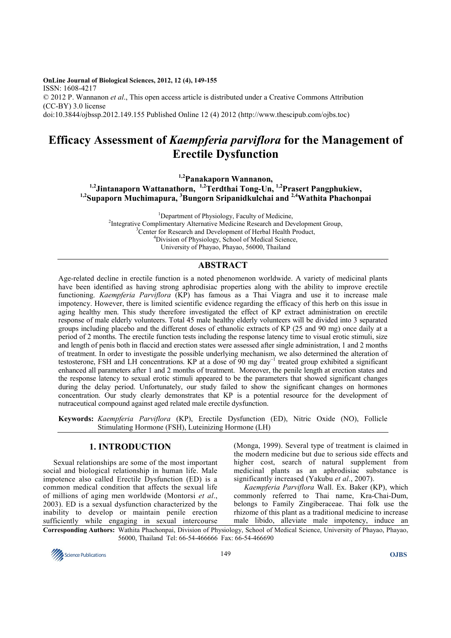**OnLine Journal of Biological Sciences, 2012, 12 (4), 149-155**  ISSN: 1608-4217 © 2012 P. Wannanon *et al*., This open access article is distributed under a Creative Commons Attribution (CC-BY) 3.0 license doi:10.3844/ojbssp.2012.149.155 Published Online 12 (4) 2012 (http://www.thescipub.com/ojbs.toc)

# **Efficacy Assessment of** *Kaempferia parviflora* **for the Management of Erectile Dysfunction**

**1,2Panakaporn Wannanon, 1,2Jintanaporn Wattanathorn, 1,2Terdthai Tong-Un, 1,2Prasert Pangphukiew, 1,2Supaporn Muchimapura, <sup>3</sup>Bungorn Sripanidkulchai and 2,4Wathita Phachonpai** 

<sup>1</sup>Department of Physiology, Faculty of Medicine, <sup>2</sup>Integrative Complimentary Alternative Medicine Research and Development Group, <sup>3</sup>Center for Research and Development of Herbal Health Product, <sup>4</sup>Division of Physiology, School of Medical Science, University of Phayao, Phayao, 56000, Thailand

# **ABSTRACT**

Age-related decline in erectile function is a noted phenomenon worldwide. A variety of medicinal plants have been identified as having strong aphrodisiac properties along with the ability to improve erectile functioning. *Kaempferia Parviflora* (KP) has famous as a Thai Viagra and use it to increase male impotency. However, there is limited scientific evidence regarding the efficacy of this herb on this issue in aging healthy men. This study therefore investigated the effect of KP extract administration on erectile response of male elderly volunteers. Total 45 male healthy elderly volunteers will be divided into 3 separated groups including placebo and the different doses of ethanolic extracts of KP (25 and 90 mg) once daily at a period of 2 months. The erectile function tests including the response latency time to visual erotic stimuli, size and length of penis both in flaccid and erection states were assessed after single administration, 1 and 2 months of treatment. In order to investigate the possible underlying mechanism, we also determined the alteration of testosterone, FSH and LH concentrations. KP at a dose of 90 mg day<sup>-1</sup> treated group exhibited a significant enhanced all parameters after 1 and 2 months of treatment. Moreover, the penile length at erection states and the response latency to sexual erotic stimuli appeared to be the parameters that showed significant changes during the delay period. Unfortunately, our study failed to show the significant changes on hormones concentration. Our study clearly demonstrates that KP is a potential resource for the development of nutraceutical compound against aged related male erectile dysfunction.

**Keywords:** *Kaempferia Parviflora* (KP), Erectile Dysfunction (ED), Nitric Oxide (NO), Follicle Stimulating Hormone (FSH), Luteinizing Hormone (LH)

# **1. INTRODUCTION**

Sexual relationships are some of the most important social and biological relationship in human life. Male impotence also called Erectile Dysfunction (ED) is a common medical condition that affects the sexual life of millions of aging men worldwide (Montorsi *et al*., 2003). ED is a sexual dysfunction characterized by the inability to develop or maintain penile erection sufficiently while engaging in sexual intercourse

(Monga, 1999). Several type of treatment is claimed in the modern medicine but due to serious side effects and higher cost, search of natural supplement from medicinal plants as an aphrodisiac substance is significantly increased (Yakubu *et al*., 2007).

*Kaempferia Parviflora* Wall. Ex. Baker (KP), which commonly referred to Thai name, Kra-Chai-Dum, belongs to Family Zingiberaceae. Thai folk use the rhizome of this plant as a traditional medicine to increase male libido, alleviate male impotency, induce an

**Corresponding Authors:** Wathita Phachonpai, Division of Physiology, School of Medical Science, University of Phayao, Phayao, 56000, Thailand Tel: 66-54-466666 Fax: 66-54-466690

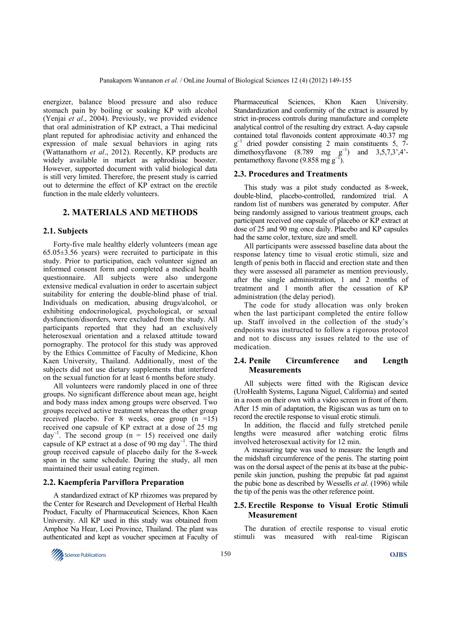energizer, balance blood pressure and also reduce stomach pain by boiling or soaking KP with alcohol (Yenjai *et al*., 2004). Previously, we provided evidence that oral administration of KP extract, a Thai medicinal plant reputed for aphrodisiac activity and enhanced the expression of male sexual behaviors in aging rats (Wattanathorn *et al*., 2012). Recently, KP products are widely available in market as aphrodisiac booster. However, supported document with valid biological data is still very limited. Therefore, the present study is carried out to determine the effect of KP extract on the erectile function in the male elderly volunteers.

## **2. MATERIALS AND METHODS**

#### **2.1. Subjects**

Forty-five male healthy elderly volunteers (mean age  $65.05\pm3.56$  years) were recruited to participate in this study. Prior to participation, each volunteer signed an informed consent form and completed a medical health questionnaire. All subjects were also undergone extensive medical evaluation in order to ascertain subject suitability for entering the double-blind phase of trial. Individuals on medication, abusing drugs/alcohol, or exhibiting endocrinological, psychological, or sexual dysfunction/disorders, were excluded from the study. All participants reported that they had an exclusively heterosexual orientation and a relaxed attitude toward pornography. The protocol for this study was approved by the Ethics Committee of Faculty of Medicine, Khon Kaen University, Thailand. Additionally, most of the subjects did not use dietary supplements that interfered on the sexual function for at least 6 months before study.

All volunteers were randomly placed in one of three groups. No significant difference about mean age, height and body mass index among groups were observed. Two groups received active treatment whereas the other group received placebo. For 8 weeks, one group  $(n = 15)$ received one capsule of KP extract at a dose of 25 mg  $day^{-1}$ . The second group (n = 15) received one daily capsule of KP extract at a dose of 90 mg day<sup>-1</sup>. The third group received capsule of placebo daily for the 8-week span in the same schedule. During the study, all men maintained their usual eating regimen.

#### **2.2. Kaempferia Parviflora Preparation**

A standardized extract of KP rhizomes was prepared by the Center for Research and Development of Herbal Health Product, Faculty of Pharmaceutical Sciences, Khon Kaen University. All KP used in this study was obtained from Amphoe Na Hear, Loei Province, Thailand. The plant was authenticated and kept as voucher specimen at Faculty of Pharmaceutical Sciences, Khon Kaen University. Standardization and conformity of the extract is assured by strict in-process controls during manufacture and complete analytical control of the resulting dry extract. A-day capsule contained total flavonoids content approximate 40.37 mg  $g^{-1}$  dried powder consisting 2 main constituents 5, 7dimethoxyflavone  $(8.789 \text{ mg } \text{g}^{-1})$  and  $3,5,7,3^2,4^2$ pentamethoxy flavone (9.858 mg g<sup>-1</sup> ).

#### **2.3. Procedures and Treatments**

This study was a pilot study conducted as 8-week, double-blind, placebo-controlled, randomized trial. A random list of numbers was generated by computer. After being randomly assigned to various treatment groups, each participant received one capsule of placebo or KP extract at dose of 25 and 90 mg once daily. Placebo and KP capsules had the same color, texture, size and smell.

All participants were assessed baseline data about the response latency time to visual erotic stimuli, size and length of penis both in flaccid and erection state and then they were assessed all parameter as mention previously, after the single administration, 1 and 2 months of treatment and 1 month after the cessation of KP administration (the delay period).

The code for study allocation was only broken when the last participant completed the entire follow up. Staff involved in the collection of the study's endpoints was instructed to follow a rigorous protocol and not to discuss any issues related to the use of medication.

## **2.4. Penile Circumference and Length Measurements**

All subjects were fitted with the Rigiscan device (UroHealth Systems, Laguna Niguel, California) and seated in a room on their own with a video screen in front of them. After 15 min of adaptation, the Rigiscan was as turn on to record the erectile response to visual erotic stimuli.

In addition, the flaccid and fully stretched penile lengths were measured after watching erotic films involved heterosexual activity for 12 min.

A measuring tape was used to measure the length and the midshaft circumference of the penis. The starting point was on the dorsal aspect of the penis at its base at the pubicpenile skin junction, pushing the prepubic fat pad against the pubic bone as described by Wessells *et al*. (1996) while the tip of the penis was the other reference point.

#### **2.5. Erectile Response to Visual Erotic Stimuli Measurement**

The duration of erectile response to visual erotic stimuli was measured with real-time Rigiscan

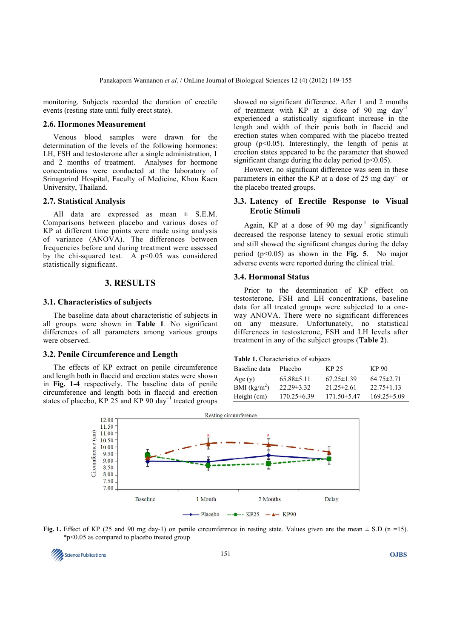monitoring. Subjects recorded the duration of erectile events (resting state until fully erect state).

#### **2.6. Hormones Measurement**

Venous blood samples were drawn for the determination of the levels of the following hormones: LH, FSH and testosterone after a single administration, 1 and 2 months of treatment. Analyses for hormone concentrations were conducted at the laboratory of Srinagarind Hospital, Faculty of Medicine, Khon Kaen University, Thailand.

#### **2.7. Statistical Analysis**

All data are expressed as mean ± S.E.M. Comparisons between placebo and various doses of KP at different time points were made using analysis of variance (ANOVA). The differences between frequencies before and during treatment were assessed by the chi-squared test. A  $p<0.05$  was considered statistically significant.

#### **3. RESULTS**

#### **3.1. Characteristics of subjects**

The baseline data about characteristic of subjects in all groups were shown in **Table 1**. No significant differences of all parameters among various groups were observed.

### **3.2. Penile Circumference and Length**

The effects of KP extract on penile circumference and length both in flaccid and erection states were shown in **Fig. 1-4** respectively. The baseline data of penile circumference and length both in flaccid and erection states of placebo, KP 25 and KP 90 day<sup>-1</sup> treated groups showed no significant difference. After 1 and 2 months of treatment with KP at a dose of 90 mg day<sup>−</sup><sup>1</sup> experienced a statistically significant increase in the length and width of their penis both in flaccid and erection states when compared with the placebo treated group  $(p<0.05)$ . Interestingly, the length of penis at erection states appeared to be the parameter that showed significant change during the delay period  $(p<0.05)$ .

However, no significant difference was seen in these parameters in either the KP at a dose of 25 mg day<sup>-1</sup> or the placebo treated groups.

## **3.3. Latency of Erectile Response to Visual Erotic Stimuli**

Again, KP at a dose of 90 mg day<sup>-1</sup> significantly decreased the response latency to sexual erotic stimuli and still showed the significant changes during the delay period (p<0.05) as shown in the **Fig. 5**. No major adverse events were reported during the clinical trial.

## **3.4. Hormonal Status**

Prior to the determination of KP effect on testosterone, FSH and LH concentrations, baseline data for all treated groups were subjected to a oneway ANOVA. There were no significant differences on any measure. Unfortunately, no statistical differences in testosterone, FSH and LH levels after treatment in any of the subject groups (**Table 2**).

#### **Table 1.** Characteristics of subjects

| Baseline data  | Placebo           | KP 25            | KP 90             |
|----------------|-------------------|------------------|-------------------|
| Age $(y)$      | $65.88\pm5.11$    | $67.25 \pm 1.39$ | $64.75 \pm 2.71$  |
| BMI $(kg/m^2)$ | $22.29 \pm 3.32$  | $21.25 \pm 2.61$ | $22.75 \pm 1.13$  |
| Height (cm)    | $170.25 \pm 6.39$ | $171.50\pm 5.47$ | $169.25 \pm 5.09$ |





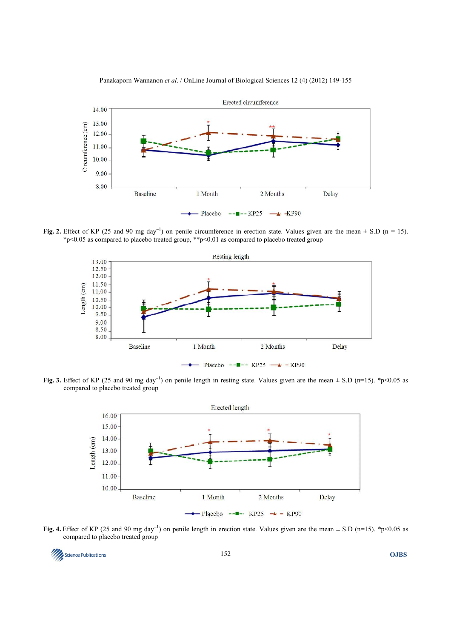

Panakaporn Wannanon *et al*. / OnLine Journal of Biological Sciences 12 (4) (2012) 149-155

**Fig. 2.** Effect of KP (25 and 90 mg day<sup>-1</sup>) on penile circumference in erection state. Values given are the mean  $\pm$  S.D (n = 15). \*p<0.05 as compared to placebo treated group, \*\*p<0.01 as compared to placebo treated group



Fig. 3. Effect of KP (25 and 90 mg day<sup>-1</sup>) on penile length in resting state. Values given are the mean ± S.D (n=15). \*p<0.05 as compared to placebo treated group



Fig. 4. Effect of KP (25 and 90 mg day<sup>-1</sup>) on penile length in erection state. Values given are the mean ± S.D (n=15). \*p<0.05 as compared to placebo treated group

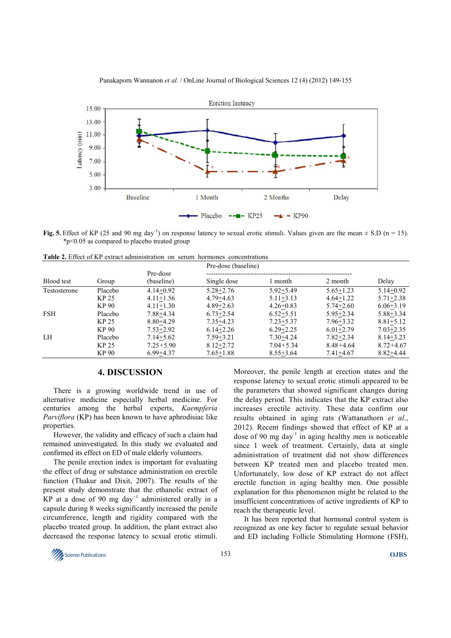

Panakaporn Wannanon *et al*. / OnLine Journal of Biological Sciences 12 (4) (2012) 149-155

**Fig. 5.** Effect of KP (25 and 90 mg day<sup>-1</sup>) on response latency to sexual erotic stimuli. Values given are the mean  $\pm$  S.D (n = 15). \*p<0.05 as compared to placebo treated group

**Table 2.** Effect of KP extract administration on serum hormones concentrations

| Blood test   | Group   | Pre-dose<br>(baseline) | Pre-dose (baseline) |               |               |               |
|--------------|---------|------------------------|---------------------|---------------|---------------|---------------|
|              |         |                        | Single dose         | month         | 2 month       | Delay         |
| Testosterone | Placebo | $4.14 + 0.92$          | $5.28 + 2.76$       | $5.92 + 5.49$ | $5.65 + 1.23$ | $5.14 + 0.92$ |
|              | KP 25   | $4.11 + 1.56$          | $4.79 + 4.63$       | $5.11 + 3.13$ | $4.64 + 1.22$ | $5.71 + 2.38$ |
|              | KP 90   | $4.11+1.30$            | $4.89 + 2.63$       | $4.26 + 0.83$ | $5.74 + 2.60$ | $6.06 + 3.19$ |
| <b>FSH</b>   | Placebo | $7.88 + 4.34$          | $6.73 + 2.54$       | $6.52 + 5.51$ | $5.95 + 2.34$ | $5.88 + 3.34$ |
|              | KP 25   | $8.80 + 4.29$          | $7.35 + 4.23$       | $7.23 + 5.37$ | $7.96 + 3.32$ | $8.81 + 5.12$ |
|              | KP 90   | $7.53 + 2.92$          | $6.14 + 2.26$       | $6.29 + 2.25$ | $6.01 + 2.79$ | $7.03 + 2.35$ |
| LH           | Placebo | $7.14 + 5.62$          | $7.59 + 3.21$       | $7.30 + 4.24$ | $7.82 + 2.34$ | $8.14 + 3.23$ |
|              | KP 25   | $7.25 + 5.90$          | $8.12 + 2.72$       | $7.04 + 5.34$ | $8.48 + 4.64$ | $8.72 + 4.67$ |
|              | KP 90   | $6.99 + 4.37$          | $7.65 + 1.88$       | $8.55 + 3.64$ | $7.41 + 4.67$ | $8.82 + 4.44$ |

# **4. DISCUSSION**

There is a growing worldwide trend in use of alternative medicine especially herbal medicine. For centuries among the herbal experts, *Kaempferia Parviflora* (KP) has been known to have aphrodisiac like properties.

However, the validity and efficacy of such a claim had remained uninvestigated. In this study we evaluated and confirmed its effect on ED of male elderly volunteers.

The penile erection index is important for evaluating the effect of drug or substance administration on erectile function (Thakur and Dixit, 2007). The results of the present study demonstrate that the ethanolic extract of KP at a dose of 90 mg day<sup>-1</sup> administered orally in a capsule during 8 weeks significantly increased the penile circumference, length and rigidity compared with the placebo treated group. In addition, the plant extract also decreased the response latency to sexual erotic stimuli.

Moreover, the penile length at erection states and the response latency to sexual erotic stimuli appeared to be the parameters that showed significant changes during the delay period. This indicates that the KP extract also increases erectile activity. These data confirm our results obtained in aging rats (Wattanathorn *et al*., 2012). Recent findings showed that effect of KP at a dose of 90 mg day<sup>-1</sup> in aging healthy men is noticeable since 1 week of treatment. Certainly, data at single administration of treatment did not show differences between KP treated men and placebo treated men. Unfortunately, low dose of KP extract do not affect erectile function in aging healthy men. One possible explanation for this phenomenon might be related to the insufficient concentrations of active ingredients of KP to reach the therapeutic level.

It has been reported that hormonal control system is recognized as one key factor to regulate sexual behavior and ED including Follicle Stimulating Hormone (FSH),

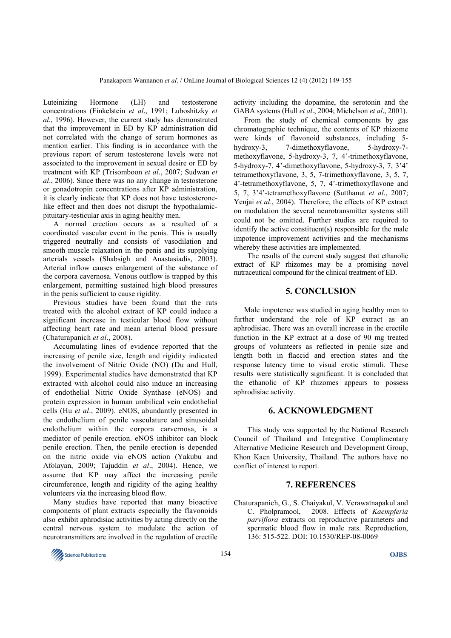Luteinizing Hormone (LH) and testosterone concentrations (Finkelstein *et al*., 1991; Luboshitzky *et al*., 1996). However, the current study has demonstrated that the improvement in ED by KP administration did not correlated with the change of serum hormones as mention earlier. This finding is in accordance with the previous report of serum testosterone levels were not associated to the improvement in sexual desire or ED by treatment with KP (Trisomboon *et al*., 2007; Sudwan *et al*., 2006). Since there was no any change in testosterone or gonadotropin concentrations after KP administration, it is clearly indicate that KP does not have testosteronelike effect and then does not disrupt the hypothalamicpituitary-testicular axis in aging healthy men.

A normal erection occurs as a resulted of a coordinated vascular event in the penis. This is usually triggered neutrally and consists of vasodilation and smooth muscle relaxation in the penis and its supplying arterials vessels (Shabsigh and Anastasiadis, 2003). Arterial inflow causes enlargement of the substance of the corpora cavernosa. Venous outflow is trapped by this enlargement, permitting sustained high blood pressures in the penis sufficient to cause rigidity.

Previous studies have been found that the rats treated with the alcohol extract of KP could induce a significant increase in testicular blood flow without affecting heart rate and mean arterial blood pressure (Chaturapanich *et al*., 2008).

Accumulating lines of evidence reported that the increasing of penile size, length and rigidity indicated the involvement of Nitric Oxide (NO) (Du and Hull, 1999). Experimental studies have demonstrated that KP extracted with alcohol could also induce an increasing of endothelial Nitric Oxide Synthase (eNOS) and protein expression in human umbilical vein endothelial cells (Hu *et al*., 2009). eNOS, abundantly presented in the endothelium of penile vasculature and sinusoidal endothelium within the corpora carvernosa, is a mediator of penile erection. eNOS inhibitor can block penile erection. Then, the penile erection is depended on the nitric oxide via eNOS action (Yakubu and Afolayan, 2009; Tajuddin *et al*., 2004). Hence, we assume that KP may affect the increasing penile circumference, length and rigidity of the aging healthy volunteers via the increasing blood flow.

Many studies have reported that many bioactive components of plant extracts especially the flavonoids also exhibit aphrodisiac activities by acting directly on the central nervous system to modulate the action of neurotransmitters are involved in the regulation of erectile

activity including the dopamine, the serotonin and the GABA systems (Hull *et al*., 2004; Michelson *et al*., 2001).

From the study of chemical components by gas chromatographic technique, the contents of KP rhizome were kinds of flavonoid substances, including 5 hydroxy-3, 7-dimethoxyflavone, 5-hydroxy-7 methoxyflavone, 5-hydroxy-3, 7, 4'-trimethoxyflavone, 5-hydroxy-7, 4'-dimethoxyflavone, 5-hydroxy-3, 7, 3'4' tetramethoxyflavone, 3, 5, 7-trimethoxyflavone, 3, 5, 7, 4'-tetramethoxyflavone, 5, 7, 4'-trimethoxyflavone and 5, 7, 3'4'-tetramethoxyflavone (Sutthanut *et al*., 2007; Yenjai *et al*., 2004). Therefore, the effects of KP extract on modulation the several neurotransmitter systems still could not be omitted. Further studies are required to identify the active constituent(s) responsible for the male impotence improvement activities and the mechanisms whereby these activities are implemented.

 The results of the current study suggest that ethanolic extract of KP rhizomes may be a promising novel nutraceutical compound for the clinical treatment of ED.

#### **5. CONCLUSION**

Male impotence was studied in aging healthy men to further understand the role of KP extract as an aphrodisiac. There was an overall increase in the erectile function in the KP extract at a dose of 90 mg treated groups of volunteers as reflected in penile size and length both in flaccid and erection states and the response latency time to visual erotic stimuli. These results were statistically significant. It is concluded that the ethanolic of KP rhizomes appears to possess aphrodisiac activity.

# **6. ACKNOWLEDGMENT**

 This study was supported by the National Research Council of Thailand and Integrative Complimentary Alternative Medicine Research and Development Group, Khon Kaen University, Thailand. The authors have no conflict of interest to report.

## **7. REFERENCES**

Chaturapanich, G., S. Chaiyakul, V. Verawatnapakul and C. Pholpramool, 2008. Effects of *Kaempferia parviflora* extracts on reproductive parameters and spermatic blood flow in male rats. Reproduction, 136: 515-522. DOI: 10.1530/REP-08-0069